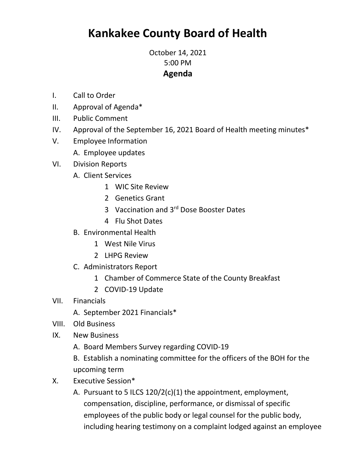## **Kankakee County Board of Health**

October 14, 2021 5:00 PM **Agenda**

- I. Call to Order
- II. Approval of Agenda\*
- III. Public Comment
- IV. Approval of the September 16, 2021 Board of Health meeting minutes\*
- V. Employee Information
	- A. Employee updates
- VI. Division Reports
	- A. Client Services
		- 1 WIC Site Review
		- 2 Genetics Grant
		- 3 Vaccination and 3rd Dose Booster Dates
		- 4 Flu Shot Dates
	- B. Environmental Health
		- 1 West Nile Virus
		- 2 LHPG Review
	- C. Administrators Report
		- 1 Chamber of Commerce State of the County Breakfast
		- 2 COVID-19 Update
- VII. Financials
	- A. September 2021 Financials\*
- VIII. Old Business
- IX. New Business
	- A. Board Members Survey regarding COVID-19
	- B. Establish a nominating committee for the officers of the BOH for the upcoming term
- X. Executive Session\*
	- A. Pursuant to 5 ILCS 120/2(c)(1) the appointment, employment, compensation, discipline, performance, or dismissal of specific employees of the public body or legal counsel for the public body, including hearing testimony on a complaint lodged against an employee